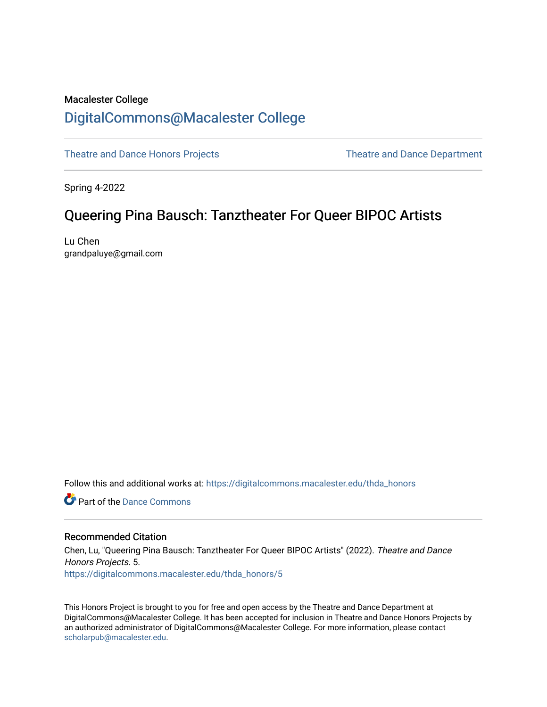# Macalester College [DigitalCommons@Macalester College](https://digitalcommons.macalester.edu/)

[Theatre and Dance Honors Projects](https://digitalcommons.macalester.edu/thda_honors) Theatre and Dance Department

Spring 4-2022

# Queering Pina Bausch: Tanztheater For Queer BIPOC Artists

Lu Chen grandpaluye@gmail.com

Follow this and additional works at: [https://digitalcommons.macalester.edu/thda\\_honors](https://digitalcommons.macalester.edu/thda_honors?utm_source=digitalcommons.macalester.edu%2Fthda_honors%2F5&utm_medium=PDF&utm_campaign=PDFCoverPages) 

**P** Part of the Dance Commons

### Recommended Citation

Chen, Lu, "Queering Pina Bausch: Tanztheater For Queer BIPOC Artists" (2022). Theatre and Dance Honors Projects. 5. [https://digitalcommons.macalester.edu/thda\\_honors/5](https://digitalcommons.macalester.edu/thda_honors/5?utm_source=digitalcommons.macalester.edu%2Fthda_honors%2F5&utm_medium=PDF&utm_campaign=PDFCoverPages)

This Honors Project is brought to you for free and open access by the Theatre and Dance Department at DigitalCommons@Macalester College. It has been accepted for inclusion in Theatre and Dance Honors Projects by an authorized administrator of DigitalCommons@Macalester College. For more information, please contact [scholarpub@macalester.edu](mailto:scholarpub@macalester.edu).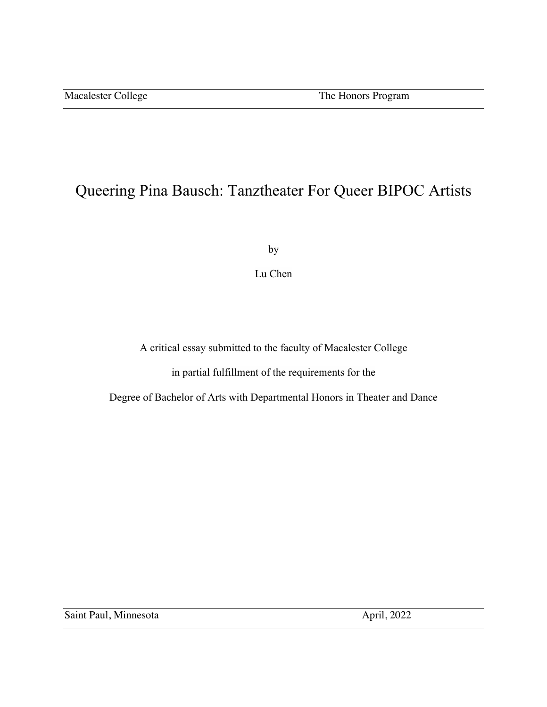# Queering Pina Bausch: Tanztheater For Queer BIPOC Artists

by

Lu Chen

A critical essay submitted to the faculty of Macalester College

in partial fulfillment of the requirements for the

Degree of Bachelor of Arts with Departmental Honors in Theater and Dance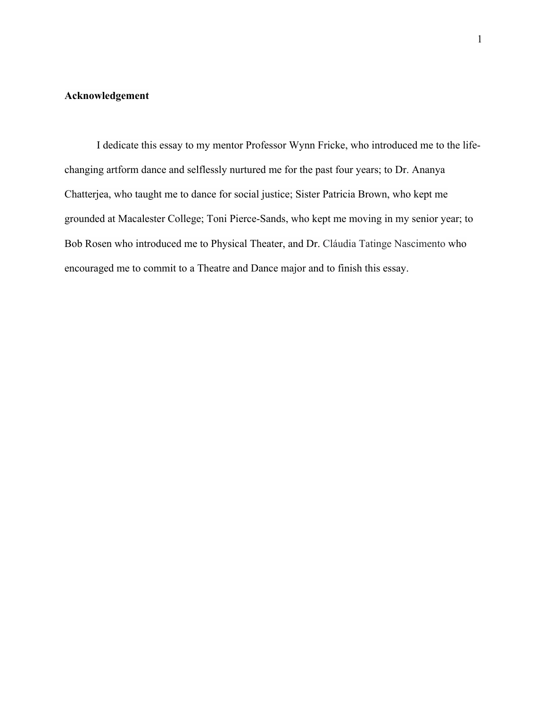## **Acknowledgement**

I dedicate this essay to my mentor Professor Wynn Fricke, who introduced me to the lifechanging artform dance and selflessly nurtured me for the past four years; to Dr. Ananya Chatterjea, who taught me to dance for social justice; Sister Patricia Brown, who kept me grounded at Macalester College; Toni Pierce-Sands, who kept me moving in my senior year; to Bob Rosen who introduced me to Physical Theater, and Dr. Cláudia Tatinge Nascimento who encouraged me to commit to a Theatre and Dance major and to finish this essay.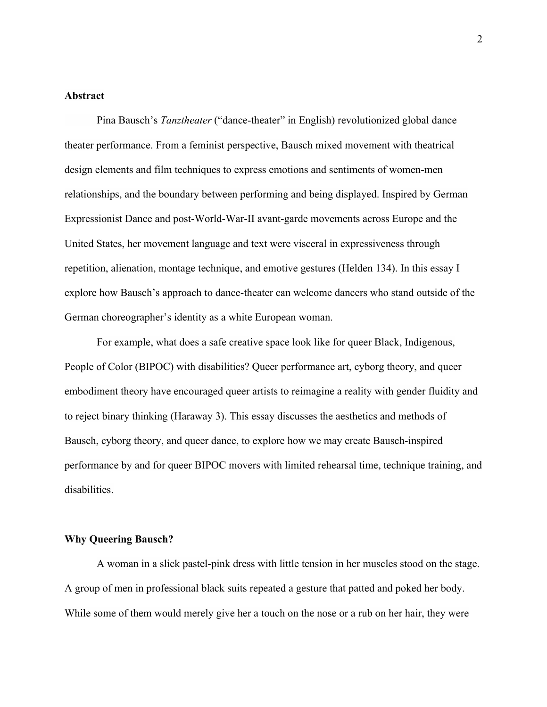### **Abstract**

Pina Bausch's *Tanztheater* ("dance-theater" in English) revolutionized global dance theater performance. From a feminist perspective, Bausch mixed movement with theatrical design elements and film techniques to express emotions and sentiments of women-men relationships, and the boundary between performing and being displayed. Inspired by German Expressionist Dance and post-World-War-II avant-garde movements across Europe and the United States, her movement language and text were visceral in expressiveness through repetition, alienation, montage technique, and emotive gestures (Helden 134). In this essay I explore how Bausch's approach to dance-theater can welcome dancers who stand outside of the German choreographer's identity as a white European woman.

For example, what does a safe creative space look like for queer Black, Indigenous, People of Color (BIPOC) with disabilities? Queer performance art, cyborg theory, and queer embodiment theory have encouraged queer artists to reimagine a reality with gender fluidity and to reject binary thinking (Haraway 3). This essay discusses the aesthetics and methods of Bausch, cyborg theory, and queer dance, to explore how we may create Bausch-inspired performance by and for queer BIPOC movers with limited rehearsal time, technique training, and disabilities.

#### **Why Queering Bausch?**

A woman in a slick pastel-pink dress with little tension in her muscles stood on the stage. A group of men in professional black suits repeated a gesture that patted and poked her body. While some of them would merely give her a touch on the nose or a rub on her hair, they were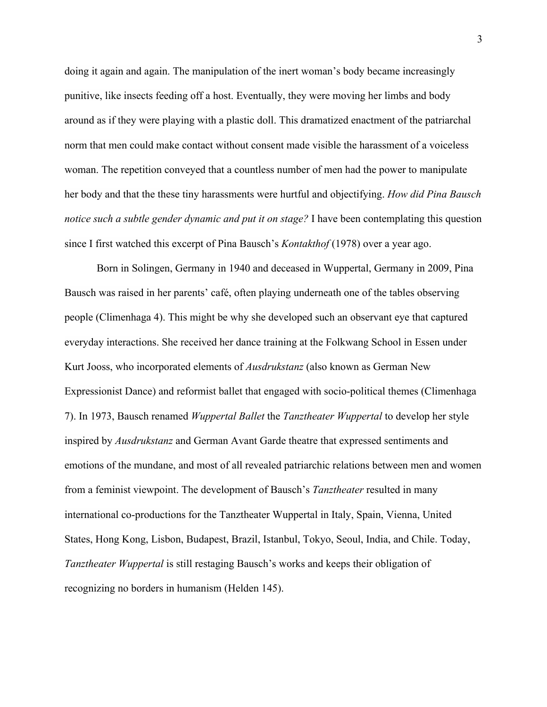doing it again and again. The manipulation of the inert woman's body became increasingly punitive, like insects feeding off a host. Eventually, they were moving her limbs and body around as if they were playing with a plastic doll. This dramatized enactment of the patriarchal norm that men could make contact without consent made visible the harassment of a voiceless woman. The repetition conveyed that a countless number of men had the power to manipulate her body and that the these tiny harassments were hurtful and objectifying. *How did Pina Bausch notice such a subtle gender dynamic and put it on stage?* I have been contemplating this question since I first watched this excerpt of Pina Bausch's *Kontakthof* (1978) over a year ago.

Born in Solingen, Germany in 1940 and deceased in Wuppertal, Germany in 2009, Pina Bausch was raised in her parents' café, often playing underneath one of the tables observing people (Climenhaga 4). This might be why she developed such an observant eye that captured everyday interactions. She received her dance training at the Folkwang School in Essen under Kurt Jooss, who incorporated elements of *Ausdrukstanz* (also known as German New Expressionist Dance) and reformist ballet that engaged with socio-political themes (Climenhaga 7). In 1973, Bausch renamed *Wuppertal Ballet* the *Tanztheater Wuppertal* to develop her style inspired by *Ausdrukstanz* and German Avant Garde theatre that expressed sentiments and emotions of the mundane, and most of all revealed patriarchic relations between men and women from a feminist viewpoint. The development of Bausch's *Tanztheater* resulted in many international co-productions for the Tanztheater Wuppertal in Italy, Spain, Vienna, United States, Hong Kong, Lisbon, Budapest, Brazil, Istanbul, Tokyo, Seoul, India, and Chile. Today, *Tanztheater Wuppertal* is still restaging Bausch's works and keeps their obligation of recognizing no borders in humanism (Helden 145).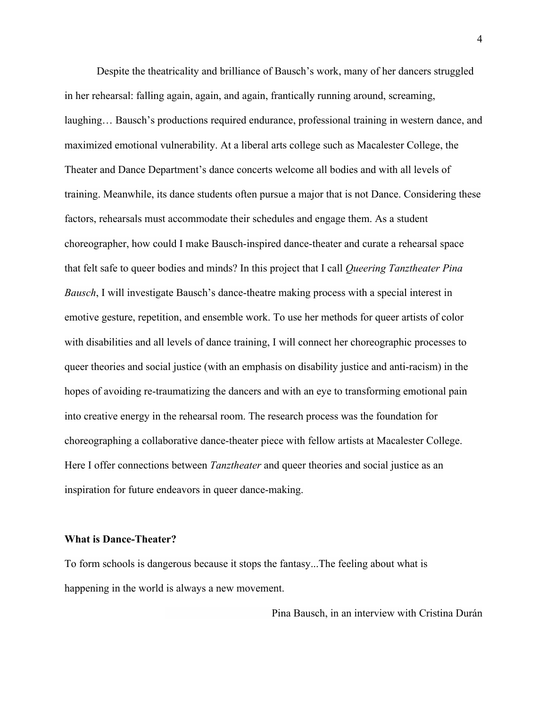Despite the theatricality and brilliance of Bausch's work, many of her dancers struggled in her rehearsal: falling again, again, and again, frantically running around, screaming, laughing… Bausch's productions required endurance, professional training in western dance, and maximized emotional vulnerability. At a liberal arts college such as Macalester College, the Theater and Dance Department's dance concerts welcome all bodies and with all levels of training. Meanwhile, its dance students often pursue a major that is not Dance. Considering these factors, rehearsals must accommodate their schedules and engage them. As a student choreographer, how could I make Bausch-inspired dance-theater and curate a rehearsal space that felt safe to queer bodies and minds? In this project that I call *Queering Tanztheater Pina Bausch*, I will investigate Bausch's dance-theatre making process with a special interest in emotive gesture, repetition, and ensemble work. To use her methods for queer artists of color with disabilities and all levels of dance training, I will connect her choreographic processes to queer theories and social justice (with an emphasis on disability justice and anti-racism) in the hopes of avoiding re-traumatizing the dancers and with an eye to transforming emotional pain into creative energy in the rehearsal room. The research process was the foundation for choreographing a collaborative dance-theater piece with fellow artists at Macalester College. Here I offer connections between *Tanztheater* and queer theories and social justice as an inspiration for future endeavors in queer dance-making.

#### **What is Dance-Theater?**

To form schools is dangerous because it stops the fantasy...The feeling about what is happening in the world is always a new movement.

Pina Bausch, in an interview with Cristina Durán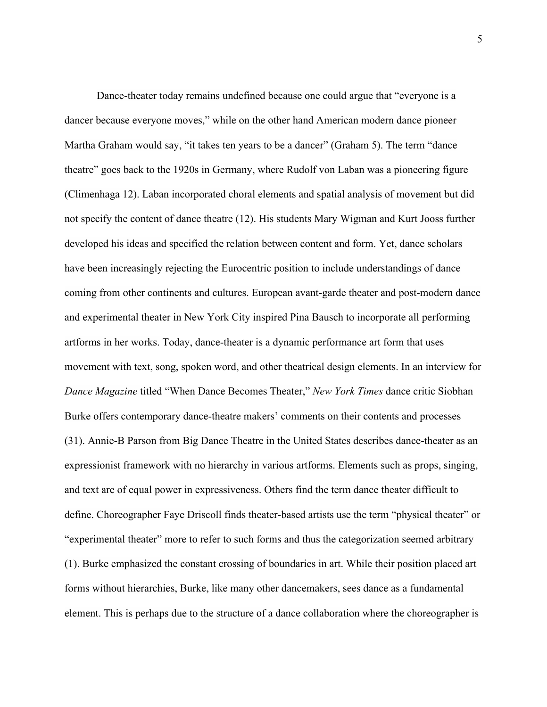Dance-theater today remains undefined because one could argue that "everyone is a dancer because everyone moves," while on the other hand American modern dance pioneer Martha Graham would say, "it takes ten years to be a dancer" (Graham 5). The term "dance theatre" goes back to the 1920s in Germany, where Rudolf von Laban was a pioneering figure (Climenhaga 12). Laban incorporated choral elements and spatial analysis of movement but did not specify the content of dance theatre (12). His students Mary Wigman and Kurt Jooss further developed his ideas and specified the relation between content and form. Yet, dance scholars have been increasingly rejecting the Eurocentric position to include understandings of dance coming from other continents and cultures. European avant-garde theater and post-modern dance and experimental theater in New York City inspired Pina Bausch to incorporate all performing artforms in her works. Today, dance-theater is a dynamic performance art form that uses movement with text, song, spoken word, and other theatrical design elements. In an interview for *Dance Magazine* titled "When Dance Becomes Theater," *New York Times* dance critic Siobhan Burke offers contemporary dance-theatre makers' comments on their contents and processes (31). Annie-B Parson from Big Dance Theatre in the United States describes dance-theater as an expressionist framework with no hierarchy in various artforms. Elements such as props, singing, and text are of equal power in expressiveness. Others find the term dance theater difficult to define. Choreographer Faye Driscoll finds theater-based artists use the term "physical theater" or "experimental theater" more to refer to such forms and thus the categorization seemed arbitrary (1). Burke emphasized the constant crossing of boundaries in art. While their position placed art forms without hierarchies, Burke, like many other dancemakers, sees dance as a fundamental element. This is perhaps due to the structure of a dance collaboration where the choreographer is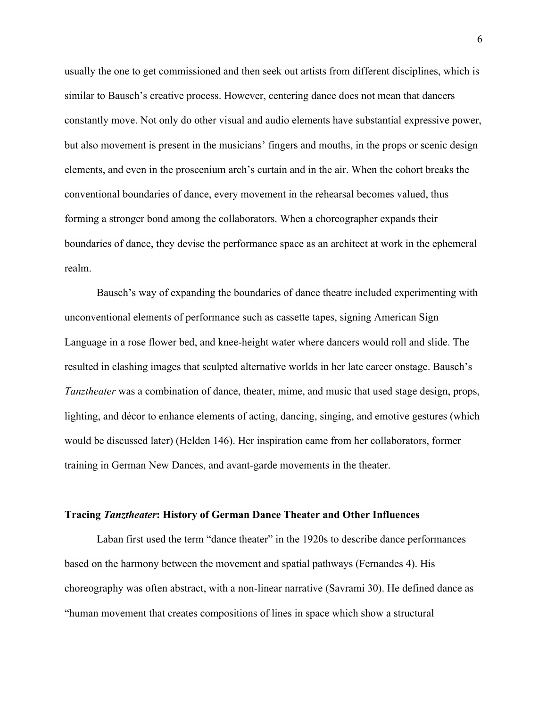usually the one to get commissioned and then seek out artists from different disciplines, which is similar to Bausch's creative process. However, centering dance does not mean that dancers constantly move. Not only do other visual and audio elements have substantial expressive power, but also movement is present in the musicians' fingers and mouths, in the props or scenic design elements, and even in the proscenium arch's curtain and in the air. When the cohort breaks the conventional boundaries of dance, every movement in the rehearsal becomes valued, thus forming a stronger bond among the collaborators. When a choreographer expands their boundaries of dance, they devise the performance space as an architect at work in the ephemeral realm.

Bausch's way of expanding the boundaries of dance theatre included experimenting with unconventional elements of performance such as cassette tapes, signing American Sign Language in a rose flower bed, and knee-height water where dancers would roll and slide. The resulted in clashing images that sculpted alternative worlds in her late career onstage. Bausch's *Tanztheater* was a combination of dance, theater, mime, and music that used stage design, props, lighting, and décor to enhance elements of acting, dancing, singing, and emotive gestures (which would be discussed later) (Helden 146). Her inspiration came from her collaborators, former training in German New Dances, and avant-garde movements in the theater.

### **Tracing** *Tanztheater***: History of German Dance Theater and Other Influences**

Laban first used the term "dance theater" in the 1920s to describe dance performances based on the harmony between the movement and spatial pathways (Fernandes 4). His choreography was often abstract, with a non-linear narrative (Savrami 30). He defined dance as "human movement that creates compositions of lines in space which show a structural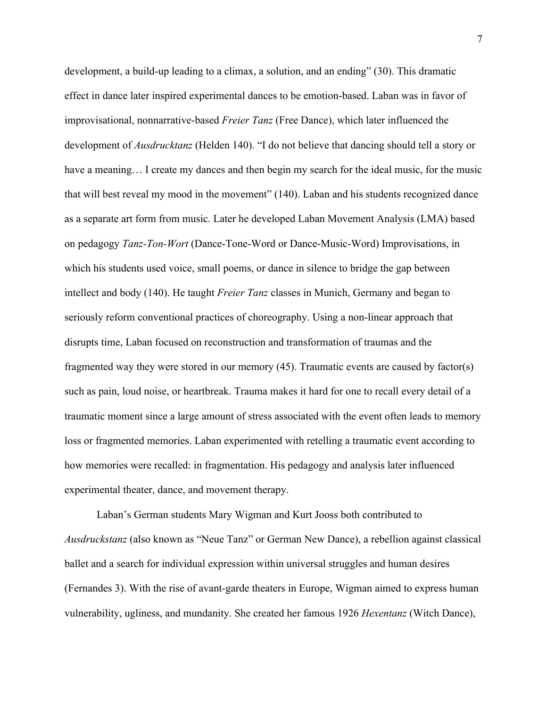development, a build-up leading to a climax, a solution, and an ending" (30). This dramatic effect in dance later inspired experimental dances to be emotion-based. Laban was in favor of improvisational, nonnarrative-based *Freier Tanz* (Free Dance), which later influenced the development of *Ausdrucktanz* (Helden 140). "I do not believe that dancing should tell a story or have a meaning... I create my dances and then begin my search for the ideal music, for the music that will best reveal my mood in the movement" (140). Laban and his students recognized dance as a separate art form from music. Later he developed Laban Movement Analysis (LMA) based on pedagogy *Tanz-Ton-Wort* (Dance-Tone-Word or Dance-Music-Word) Improvisations, in which his students used voice, small poems, or dance in silence to bridge the gap between intellect and body (140). He taught *Freier Tanz* classes in Munich, Germany and began to seriously reform conventional practices of choreography. Using a non-linear approach that disrupts time, Laban focused on reconstruction and transformation of traumas and the fragmented way they were stored in our memory (45). Traumatic events are caused by factor(s) such as pain, loud noise, or heartbreak. Trauma makes it hard for one to recall every detail of a traumatic moment since a large amount of stress associated with the event often leads to memory loss or fragmented memories. Laban experimented with retelling a traumatic event according to how memories were recalled: in fragmentation. His pedagogy and analysis later influenced experimental theater, dance, and movement therapy.

Laban's German students Mary Wigman and Kurt Jooss both contributed to *Ausdruckstanz* (also known as "Neue Tanz" or German New Dance), a rebellion against classical ballet and a search for individual expression within universal struggles and human desires (Fernandes 3). With the rise of avant-garde theaters in Europe, Wigman aimed to express human vulnerability, ugliness, and mundanity. She created her famous 1926 *Hexentanz* (Witch Dance),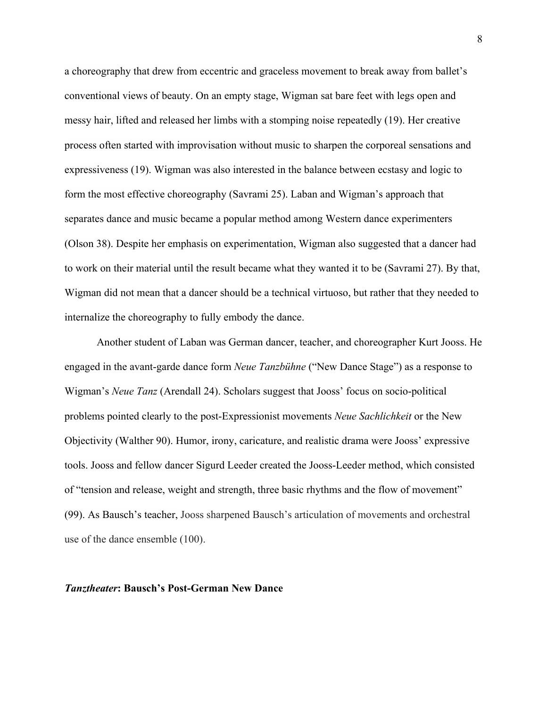a choreography that drew from eccentric and graceless movement to break away from ballet's conventional views of beauty. On an empty stage, Wigman sat bare feet with legs open and messy hair, lifted and released her limbs with a stomping noise repeatedly (19). Her creative process often started with improvisation without music to sharpen the corporeal sensations and expressiveness (19). Wigman was also interested in the balance between ecstasy and logic to form the most effective choreography (Savrami 25). Laban and Wigman's approach that separates dance and music became a popular method among Western dance experimenters (Olson 38). Despite her emphasis on experimentation, Wigman also suggested that a dancer had to work on their material until the result became what they wanted it to be (Savrami 27). By that, Wigman did not mean that a dancer should be a technical virtuoso, but rather that they needed to internalize the choreography to fully embody the dance.

Another student of Laban was German dancer, teacher, and choreographer Kurt Jooss. He engaged in the avant-garde dance form *Neue Tanzbühne* ("New Dance Stage") as a response to Wigman's *Neue Tanz* (Arendall 24). Scholars suggest that Jooss' focus on socio-political problems pointed clearly to the post-Expressionist movements *Neue Sachlichkeit* or the New Objectivity (Walther 90). Humor, irony, caricature, and realistic drama were Jooss' expressive tools. Jooss and fellow dancer Sigurd Leeder created the Jooss-Leeder method, which consisted of "tension and release, weight and strength, three basic rhythms and the flow of movement" (99). As Bausch's teacher, Jooss sharpened Bausch's articulation of movements and orchestral use of the dance ensemble (100).

#### *Tanztheater***: Bausch's Post-German New Dance**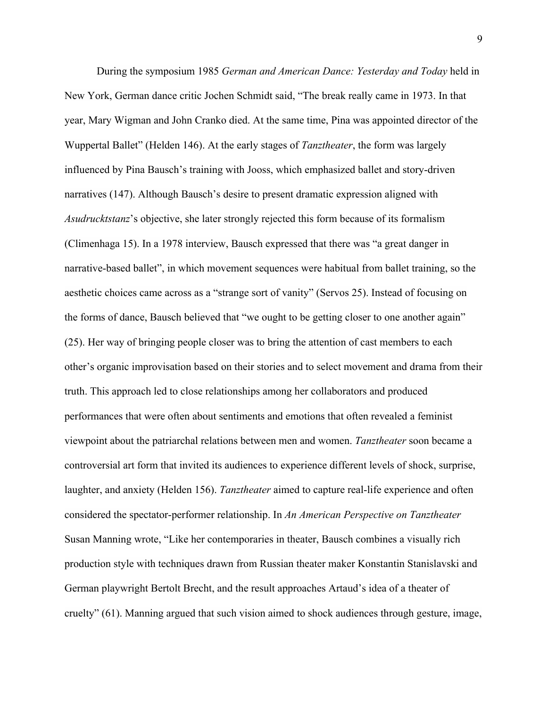During the symposium 1985 *German and American Dance: Yesterday and Today* held in New York, German dance critic Jochen Schmidt said, "The break really came in 1973. In that year, Mary Wigman and John Cranko died. At the same time, Pina was appointed director of the Wuppertal Ballet" (Helden 146). At the early stages of *Tanztheater*, the form was largely influenced by Pina Bausch's training with Jooss, which emphasized ballet and story-driven narratives (147). Although Bausch's desire to present dramatic expression aligned with *Asudrucktstanz*'s objective, she later strongly rejected this form because of its formalism (Climenhaga 15). In a 1978 interview, Bausch expressed that there was "a great danger in narrative-based ballet", in which movement sequences were habitual from ballet training, so the aesthetic choices came across as a "strange sort of vanity" (Servos 25). Instead of focusing on the forms of dance, Bausch believed that "we ought to be getting closer to one another again" (25). Her way of bringing people closer was to bring the attention of cast members to each other's organic improvisation based on their stories and to select movement and drama from their truth. This approach led to close relationships among her collaborators and produced performances that were often about sentiments and emotions that often revealed a feminist viewpoint about the patriarchal relations between men and women. *Tanztheater* soon became a controversial art form that invited its audiences to experience different levels of shock, surprise, laughter, and anxiety (Helden 156). *Tanztheater* aimed to capture real-life experience and often considered the spectator-performer relationship. In *An American Perspective on Tanztheater* Susan Manning wrote, "Like her contemporaries in theater, Bausch combines a visually rich production style with techniques drawn from Russian theater maker Konstantin Stanislavski and German playwright Bertolt Brecht, and the result approaches Artaud's idea of a theater of cruelty" (61). Manning argued that such vision aimed to shock audiences through gesture, image,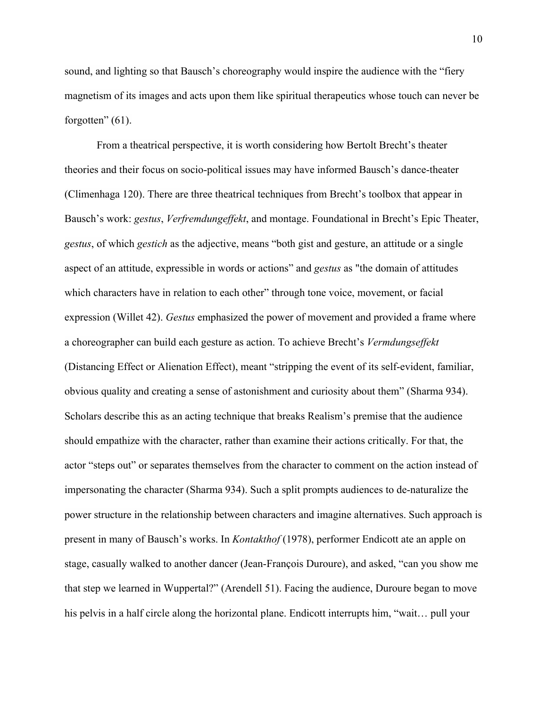sound, and lighting so that Bausch's choreography would inspire the audience with the "fiery magnetism of its images and acts upon them like spiritual therapeutics whose touch can never be forgotten"  $(61)$ .

From a theatrical perspective, it is worth considering how Bertolt Brecht's theater theories and their focus on socio-political issues may have informed Bausch's dance-theater (Climenhaga 120). There are three theatrical techniques from Brecht's toolbox that appear in Bausch's work: *gestus*, *Verfremdungeffekt*, and montage. Foundational in Brecht's Epic Theater, *gestus*, of which *gestich* as the adjective, means "both gist and gesture, an attitude or a single aspect of an attitude, expressible in words or actions" and *gestus* as "the domain of attitudes which characters have in relation to each other" through tone voice, movement, or facial expression (Willet 42). *Gestus* emphasized the power of movement and provided a frame where a choreographer can build each gesture as action. To achieve Brecht's *Vermdungseffekt* (Distancing Effect or Alienation Effect), meant "stripping the event of its self-evident, familiar, obvious quality and creating a sense of astonishment and curiosity about them" (Sharma 934). Scholars describe this as an acting technique that breaks Realism's premise that the audience should empathize with the character, rather than examine their actions critically. For that, the actor "steps out" or separates themselves from the character to comment on the action instead of impersonating the character (Sharma 934). Such a split prompts audiences to de-naturalize the power structure in the relationship between characters and imagine alternatives. Such approach is present in many of Bausch's works. In *Kontakthof* (1978), performer Endicott ate an apple on stage, casually walked to another dancer (Jean-François Duroure), and asked, "can you show me that step we learned in Wuppertal?" (Arendell 51). Facing the audience, Duroure began to move his pelvis in a half circle along the horizontal plane. Endicott interrupts him, "wait... pull your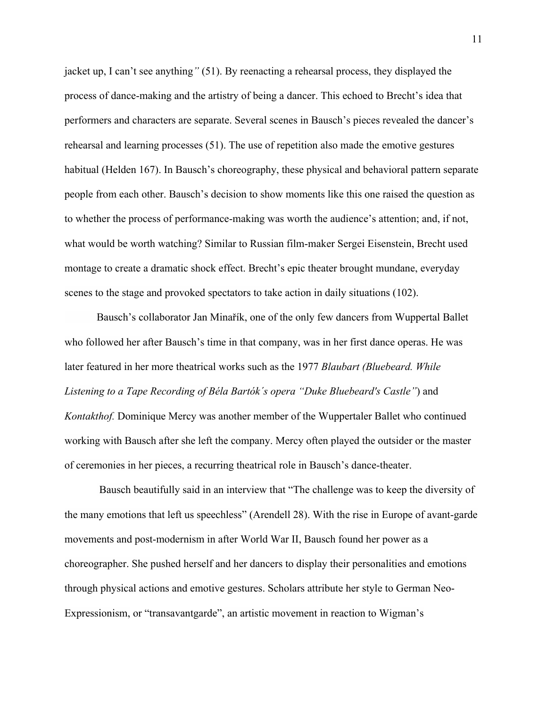jacket up, I can't see anything*"* (51). By reenacting a rehearsal process, they displayed the process of dance-making and the artistry of being a dancer. This echoed to Brecht's idea that performers and characters are separate. Several scenes in Bausch's pieces revealed the dancer's rehearsal and learning processes (51). The use of repetition also made the emotive gestures habitual (Helden 167). In Bausch's choreography, these physical and behavioral pattern separate people from each other. Bausch's decision to show moments like this one raised the question as to whether the process of performance-making was worth the audience's attention; and, if not, what would be worth watching? Similar to Russian film-maker Sergei Eisenstein, Brecht used montage to create a dramatic shock effect. Brecht's epic theater brought mundane, everyday scenes to the stage and provoked spectators to take action in daily situations (102).

Bausch's collaborator Jan Minařík, one of the only few dancers from Wuppertal Ballet who followed her after Bausch's time in that company, was in her first dance operas. He was later featured in her more theatrical works such as the 1977 *Blaubart (Bluebeard. While Listening to a Tape Recording of Béla Bartók´s opera "Duke Bluebeard's Castle"*) and *Kontakthof.* Dominique Mercy was another member of the Wuppertaler Ballet who continued working with Bausch after she left the company. Mercy often played the outsider or the master of ceremonies in her pieces, a recurring theatrical role in Bausch's dance-theater.

Bausch beautifully said in an interview that "The challenge was to keep the diversity of the many emotions that left us speechless" (Arendell 28). With the rise in Europe of avant-garde movements and post-modernism in after World War II, Bausch found her power as a choreographer. She pushed herself and her dancers to display their personalities and emotions through physical actions and emotive gestures. Scholars attribute her style to German Neo-Expressionism, or "transavantgarde", an artistic movement in reaction to Wigman's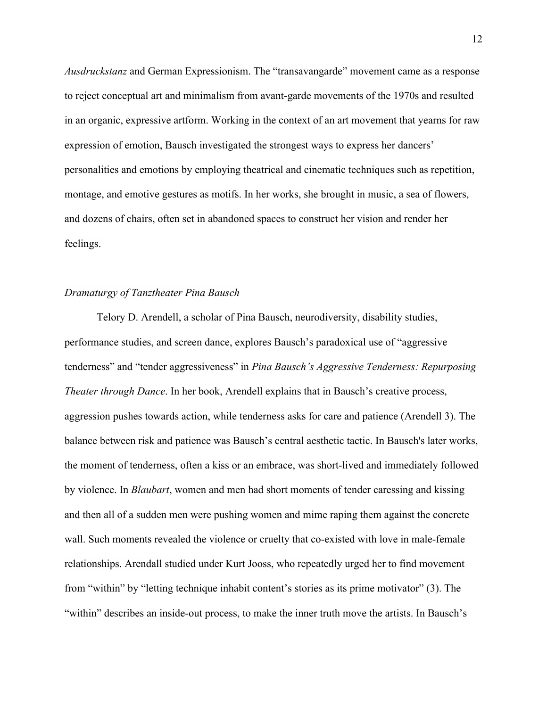*Ausdruckstanz* and German Expressionism. The "transavangarde" movement came as a response to reject conceptual art and minimalism from avant-garde movements of the 1970s and resulted in an organic, expressive artform. Working in the context of an art movement that yearns for raw expression of emotion, Bausch investigated the strongest ways to express her dancers' personalities and emotions by employing theatrical and cinematic techniques such as repetition, montage, and emotive gestures as motifs. In her works, she brought in music, a sea of flowers, and dozens of chairs, often set in abandoned spaces to construct her vision and render her feelings.

#### *Dramaturgy of Tanztheater Pina Bausch*

Telory D. Arendell, a scholar of Pina Bausch, neurodiversity, disability studies, performance studies, and screen dance, explores Bausch's paradoxical use of "aggressive tenderness" and "tender aggressiveness" in *Pina Bausch's Aggressive Tenderness: Repurposing Theater through Dance*. In her book, Arendell explains that in Bausch's creative process, aggression pushes towards action, while tenderness asks for care and patience (Arendell 3). The balance between risk and patience was Bausch's central aesthetic tactic. In Bausch's later works, the moment of tenderness, often a kiss or an embrace, was short-lived and immediately followed by violence. In *Blaubart*, women and men had short moments of tender caressing and kissing and then all of a sudden men were pushing women and mime raping them against the concrete wall. Such moments revealed the violence or cruelty that co-existed with love in male-female relationships. Arendall studied under Kurt Jooss, who repeatedly urged her to find movement from "within" by "letting technique inhabit content's stories as its prime motivator" (3). The "within" describes an inside-out process, to make the inner truth move the artists. In Bausch's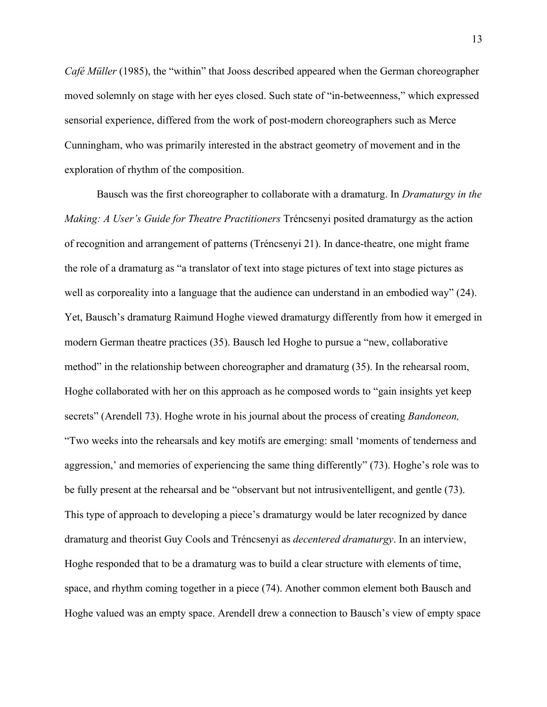*Café Müller* (1985), the "within" that Jooss described appeared when the German choreographer moved solemnly on stage with her eyes closed. Such state of "in-betweenness," which expressed sensorial experience, differed from the work of post-modern choreographers such as Merce Cunningham, who was primarily interested in the abstract geometry of movement and in the exploration of rhythm of the composition.

Bausch was the first choreographer to collaborate with a dramaturg. In *Dramaturgy in the Making: A User's Guide for Theatre Practitioners* Tréncsenyi posited dramaturgy as the action of recognition and arrangement of patterns (Tréncsenyi 21). In dance-theatre, one might frame the role of a dramaturg as "a translator of text into stage pictures of text into stage pictures as well as corporeality into a language that the audience can understand in an embodied way" (24). Yet, Bausch's dramaturg Raimund Hoghe viewed dramaturgy differently from how it emerged in modern German theatre practices (35). Bausch led Hoghe to pursue a "new, collaborative method" in the relationship between choreographer and dramaturg (35). In the rehearsal room, Hoghe collaborated with her on this approach as he composed words to "gain insights yet keep secrets" (Arendell 73). Hoghe wrote in his journal about the process of creating *Bandoneon,*  "Two weeks into the rehearsals and key motifs are emerging: small 'moments of tenderness and aggression,' and memories of experiencing the same thing differently" (73). Hoghe's role was to be fully present at the rehearsal and be "observant but not intrusiventelligent, and gentle (73). This type of approach to developing a piece's dramaturgy would be later recognized by dance dramaturg and theorist Guy Cools and Tréncsenyi as *decentered dramaturgy*. In an interview, Hoghe responded that to be a dramaturg was to build a clear structure with elements of time, space, and rhythm coming together in a piece (74). Another common element both Bausch and Hoghe valued was an empty space. Arendell drew a connection to Bausch's view of empty space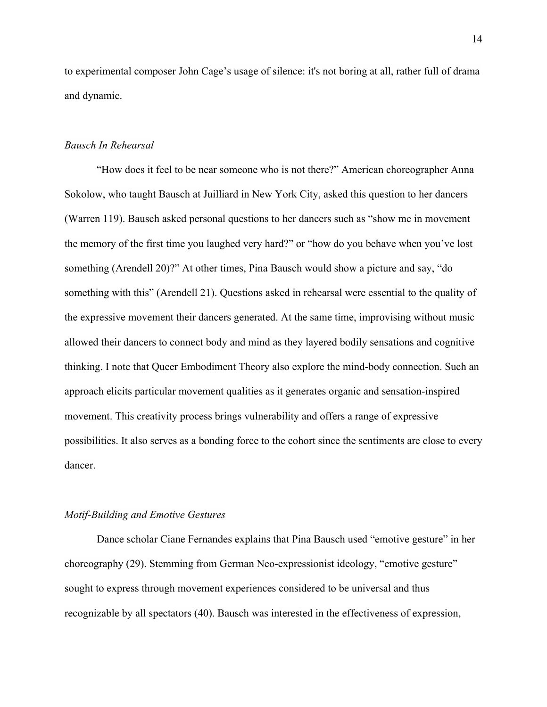to experimental composer John Cage's usage of silence: it's not boring at all, rather full of drama and dynamic.

#### *Bausch In Rehearsal*

"How does it feel to be near someone who is not there?" American choreographer Anna Sokolow, who taught Bausch at Juilliard in New York City, asked this question to her dancers (Warren 119). Bausch asked personal questions to her dancers such as "show me in movement the memory of the first time you laughed very hard?" or "how do you behave when you've lost something (Arendell 20)?" At other times, Pina Bausch would show a picture and say, "do something with this" (Arendell 21). Questions asked in rehearsal were essential to the quality of the expressive movement their dancers generated. At the same time, improvising without music allowed their dancers to connect body and mind as they layered bodily sensations and cognitive thinking. I note that Queer Embodiment Theory also explore the mind-body connection. Such an approach elicits particular movement qualities as it generates organic and sensation-inspired movement. This creativity process brings vulnerability and offers a range of expressive possibilities. It also serves as a bonding force to the cohort since the sentiments are close to every dancer.

### *Motif-Building and Emotive Gestures*

Dance scholar Ciane Fernandes explains that Pina Bausch used "emotive gesture" in her choreography (29). Stemming from German Neo-expressionist ideology, "emotive gesture" sought to express through movement experiences considered to be universal and thus recognizable by all spectators (40). Bausch was interested in the effectiveness of expression,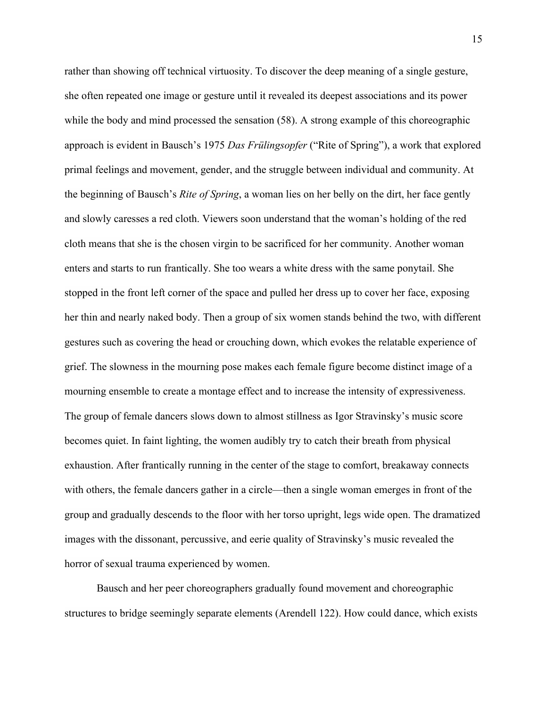rather than showing off technical virtuosity. To discover the deep meaning of a single gesture, she often repeated one image or gesture until it revealed its deepest associations and its power while the body and mind processed the sensation (58). A strong example of this choreographic approach is evident in Bausch's 1975 *Das Frülingsopfer* ("Rite of Spring"), a work that explored primal feelings and movement, gender, and the struggle between individual and community. At the beginning of Bausch's *Rite of Spring*, a woman lies on her belly on the dirt, her face gently and slowly caresses a red cloth. Viewers soon understand that the woman's holding of the red cloth means that she is the chosen virgin to be sacrificed for her community. Another woman enters and starts to run frantically. She too wears a white dress with the same ponytail. She stopped in the front left corner of the space and pulled her dress up to cover her face, exposing her thin and nearly naked body. Then a group of six women stands behind the two, with different gestures such as covering the head or crouching down, which evokes the relatable experience of grief. The slowness in the mourning pose makes each female figure become distinct image of a mourning ensemble to create a montage effect and to increase the intensity of expressiveness. The group of female dancers slows down to almost stillness as Igor Stravinsky's music score becomes quiet. In faint lighting, the women audibly try to catch their breath from physical exhaustion. After frantically running in the center of the stage to comfort, breakaway connects with others, the female dancers gather in a circle—then a single woman emerges in front of the group and gradually descends to the floor with her torso upright, legs wide open. The dramatized images with the dissonant, percussive, and eerie quality of Stravinsky's music revealed the horror of sexual trauma experienced by women.

Bausch and her peer choreographers gradually found movement and choreographic structures to bridge seemingly separate elements (Arendell 122). How could dance, which exists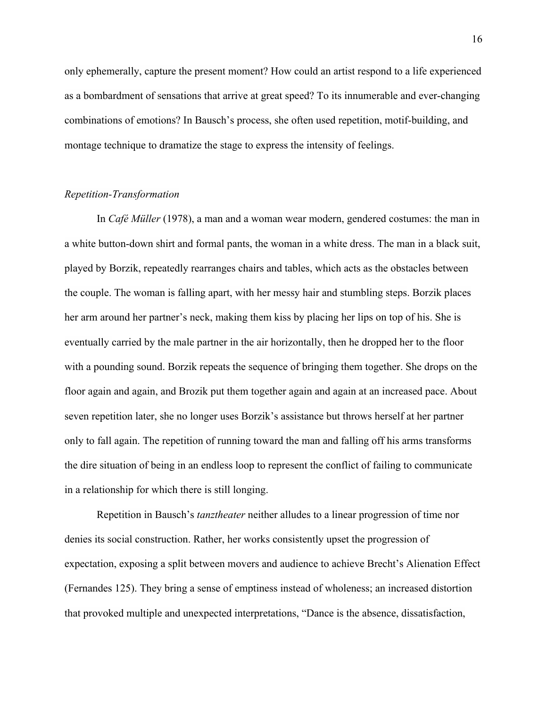only ephemerally, capture the present moment? How could an artist respond to a life experienced as a bombardment of sensations that arrive at great speed? To its innumerable and ever-changing combinations of emotions? In Bausch's process, she often used repetition, motif-building, and montage technique to dramatize the stage to express the intensity of feelings.

#### *Repetition-Transformation*

In *Café Müller* (1978), a man and a woman wear modern, gendered costumes: the man in a white button-down shirt and formal pants, the woman in a white dress. The man in a black suit, played by Borzik, repeatedly rearranges chairs and tables, which acts as the obstacles between the couple. The woman is falling apart, with her messy hair and stumbling steps. Borzik places her arm around her partner's neck, making them kiss by placing her lips on top of his. She is eventually carried by the male partner in the air horizontally, then he dropped her to the floor with a pounding sound. Borzik repeats the sequence of bringing them together. She drops on the floor again and again, and Brozik put them together again and again at an increased pace. About seven repetition later, she no longer uses Borzik's assistance but throws herself at her partner only to fall again. The repetition of running toward the man and falling off his arms transforms the dire situation of being in an endless loop to represent the conflict of failing to communicate in a relationship for which there is still longing.

Repetition in Bausch's *tanztheater* neither alludes to a linear progression of time nor denies its social construction. Rather, her works consistently upset the progression of expectation, exposing a split between movers and audience to achieve Brecht's Alienation Effect (Fernandes 125). They bring a sense of emptiness instead of wholeness; an increased distortion that provoked multiple and unexpected interpretations, "Dance is the absence, dissatisfaction,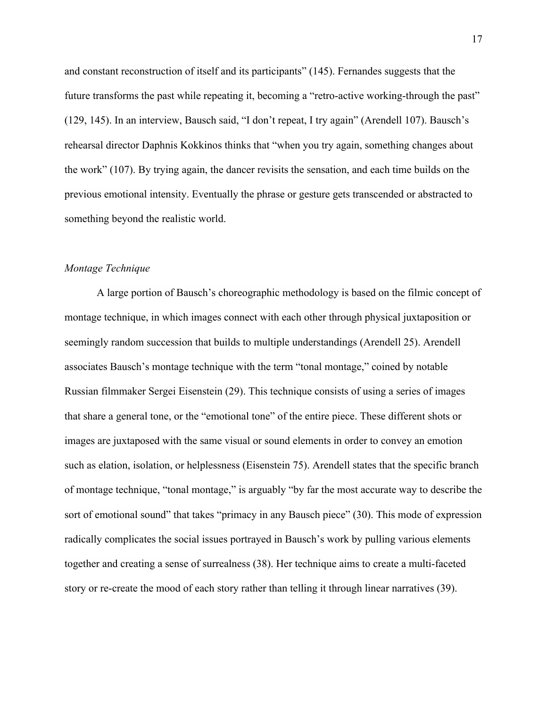and constant reconstruction of itself and its participants" (145). Fernandes suggests that the future transforms the past while repeating it, becoming a "retro-active working-through the past" (129, 145). In an interview, Bausch said, "I don't repeat, I try again" (Arendell 107). Bausch's rehearsal director Daphnis Kokkinos thinks that "when you try again, something changes about the work" (107). By trying again, the dancer revisits the sensation, and each time builds on the previous emotional intensity. Eventually the phrase or gesture gets transcended or abstracted to something beyond the realistic world.

#### *Montage Technique*

A large portion of Bausch's choreographic methodology is based on the filmic concept of montage technique, in which images connect with each other through physical juxtaposition or seemingly random succession that builds to multiple understandings (Arendell 25). Arendell associates Bausch's montage technique with the term "tonal montage," coined by notable Russian filmmaker Sergei Eisenstein (29). This technique consists of using a series of images that share a general tone, or the "emotional tone" of the entire piece. These different shots or images are juxtaposed with the same visual or sound elements in order to convey an emotion such as elation, isolation, or helplessness (Eisenstein 75). Arendell states that the specific branch of montage technique, "tonal montage," is arguably "by far the most accurate way to describe the sort of emotional sound" that takes "primacy in any Bausch piece" (30). This mode of expression radically complicates the social issues portrayed in Bausch's work by pulling various elements together and creating a sense of surrealness (38). Her technique aims to create a multi-faceted story or re-create the mood of each story rather than telling it through linear narratives (39).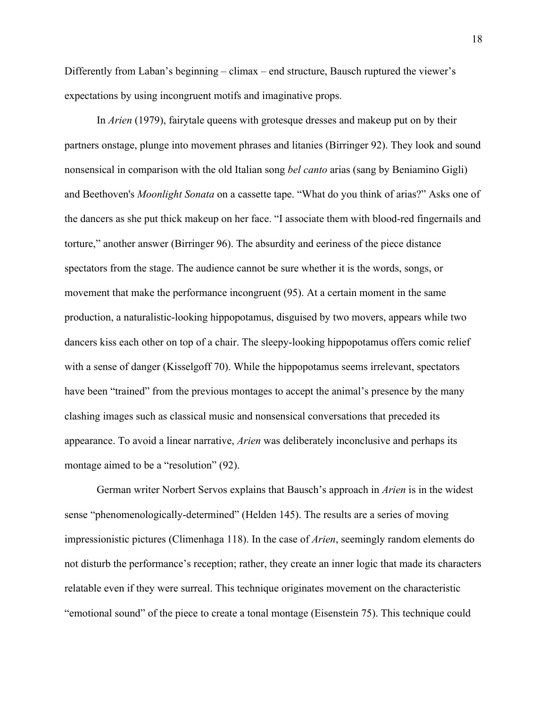Differently from Laban's beginning – climax – end structure, Bausch ruptured the viewer's expectations by using incongruent motifs and imaginative props.

In *Arien* (1979), fairytale queens with grotesque dresses and makeup put on by their partners onstage, plunge into movement phrases and litanies (Birringer 92). They look and sound nonsensical in comparison with the old Italian song *bel canto* arias (sang by Beniamino Gigli) and Beethoven's *Moonlight Sonata* on a cassette tape. "What do you think of arias?" Asks one of the dancers as she put thick makeup on her face. "I associate them with blood-red fingernails and torture," another answer (Birringer 96). The absurdity and eeriness of the piece distance spectators from the stage. The audience cannot be sure whether it is the words, songs, or movement that make the performance incongruent (95). At a certain moment in the same production, a naturalistic-looking hippopotamus, disguised by two movers, appears while two dancers kiss each other on top of a chair. The sleepy-looking hippopotamus offers comic relief with a sense of danger (Kisselgoff 70). While the hippopotamus seems irrelevant, spectators have been "trained" from the previous montages to accept the animal's presence by the many clashing images such as classical music and nonsensical conversations that preceded its appearance. To avoid a linear narrative, *Arien* was deliberately inconclusive and perhaps its montage aimed to be a "resolution" (92).

German writer Norbert Servos explains that Bausch's approach in *Arien* is in the widest sense "phenomenologically-determined" (Helden 145). The results are a series of moving impressionistic pictures (Climenhaga 118). In the case of *Arien*, seemingly random elements do not disturb the performance's reception; rather, they create an inner logic that made its characters relatable even if they were surreal. This technique originates movement on the characteristic "emotional sound" of the piece to create a tonal montage (Eisenstein 75). This technique could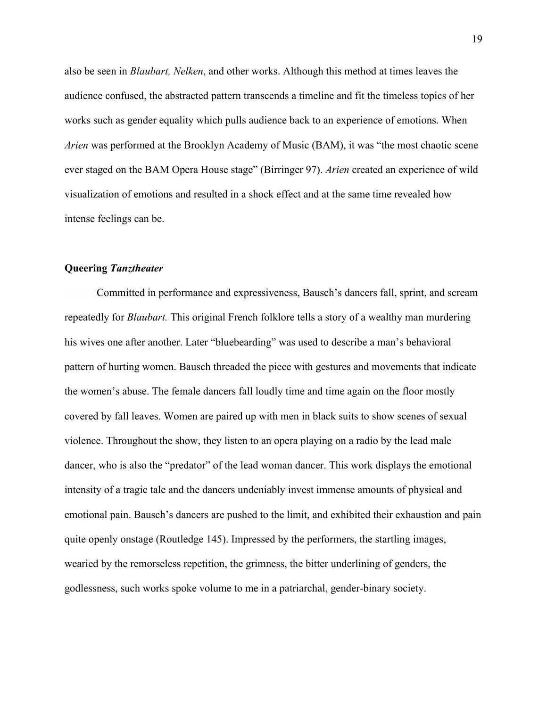also be seen in *Blaubart, Nelken*, and other works. Although this method at times leaves the audience confused, the abstracted pattern transcends a timeline and fit the timeless topics of her works such as gender equality which pulls audience back to an experience of emotions. When *Arien* was performed at the Brooklyn Academy of Music (BAM), it was "the most chaotic scene ever staged on the BAM Opera House stage" (Birringer 97). *Arien* created an experience of wild visualization of emotions and resulted in a shock effect and at the same time revealed how intense feelings can be.

### **Queering** *Tanztheater*

Committed in performance and expressiveness, Bausch's dancers fall, sprint, and scream repeatedly for *Blaubart.* This original French folklore tells a story of a wealthy man murdering his wives one after another. Later "bluebearding" was used to describe a man's behavioral pattern of hurting women. Bausch threaded the piece with gestures and movements that indicate the women's abuse. The female dancers fall loudly time and time again on the floor mostly covered by fall leaves. Women are paired up with men in black suits to show scenes of sexual violence. Throughout the show, they listen to an opera playing on a radio by the lead male dancer, who is also the "predator" of the lead woman dancer. This work displays the emotional intensity of a tragic tale and the dancers undeniably invest immense amounts of physical and emotional pain. Bausch's dancers are pushed to the limit, and exhibited their exhaustion and pain quite openly onstage (Routledge 145). Impressed by the performers, the startling images, wearied by the remorseless repetition, the grimness, the bitter underlining of genders, the godlessness, such works spoke volume to me in a patriarchal, gender-binary society.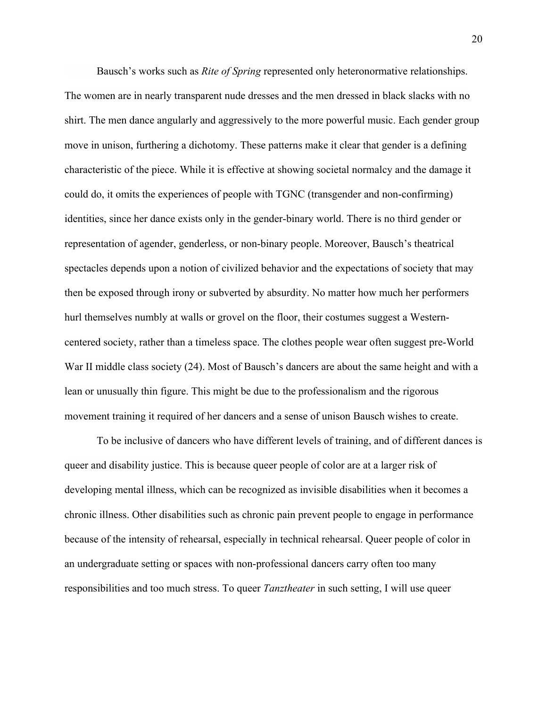Bausch's works such as *Rite of Spring* represented only heteronormative relationships. The women are in nearly transparent nude dresses and the men dressed in black slacks with no shirt. The men dance angularly and aggressively to the more powerful music. Each gender group move in unison, furthering a dichotomy. These patterns make it clear that gender is a defining characteristic of the piece. While it is effective at showing societal normalcy and the damage it could do, it omits the experiences of people with TGNC (transgender and non-confirming) identities, since her dance exists only in the gender-binary world. There is no third gender or representation of agender, genderless, or non-binary people. Moreover, Bausch's theatrical spectacles depends upon a notion of civilized behavior and the expectations of society that may then be exposed through irony or subverted by absurdity. No matter how much her performers hurl themselves numbly at walls or grovel on the floor, their costumes suggest a Westerncentered society, rather than a timeless space. The clothes people wear often suggest pre-World War II middle class society (24). Most of Bausch's dancers are about the same height and with a lean or unusually thin figure. This might be due to the professionalism and the rigorous movement training it required of her dancers and a sense of unison Bausch wishes to create.

To be inclusive of dancers who have different levels of training, and of different dances is queer and disability justice. This is because queer people of color are at a larger risk of developing mental illness, which can be recognized as invisible disabilities when it becomes a chronic illness. Other disabilities such as chronic pain prevent people to engage in performance because of the intensity of rehearsal, especially in technical rehearsal. Queer people of color in an undergraduate setting or spaces with non-professional dancers carry often too many responsibilities and too much stress. To queer *Tanztheater* in such setting, I will use queer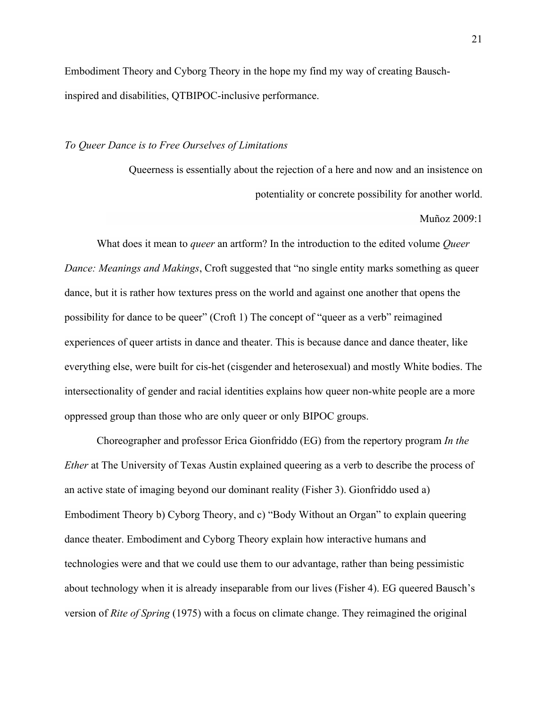Embodiment Theory and Cyborg Theory in the hope my find my way of creating Bauschinspired and disabilities, QTBIPOC-inclusive performance.

#### *To Queer Dance is to Free Ourselves of Limitations*

Queerness is essentially about the rejection of a here and now and an insistence on potentiality or concrete possibility for another world.

Muñoz 2009:1

What does it mean to *queer* an artform? In the introduction to the edited volume *Queer Dance: Meanings and Makings*, Croft suggested that "no single entity marks something as queer dance, but it is rather how textures press on the world and against one another that opens the possibility for dance to be queer" (Croft 1) The concept of "queer as a verb" reimagined experiences of queer artists in dance and theater. This is because dance and dance theater, like everything else, were built for cis-het (cisgender and heterosexual) and mostly White bodies. The intersectionality of gender and racial identities explains how queer non-white people are a more oppressed group than those who are only queer or only BIPOC groups.

Choreographer and professor Erica Gionfriddo (EG) from the repertory program *In the Ether* at The University of Texas Austin explained queering as a verb to describe the process of an active state of imaging beyond our dominant reality (Fisher 3). Gionfriddo used a) Embodiment Theory b) Cyborg Theory, and c) "Body Without an Organ" to explain queering dance theater. Embodiment and Cyborg Theory explain how interactive humans and technologies were and that we could use them to our advantage, rather than being pessimistic about technology when it is already inseparable from our lives (Fisher 4). EG queered Bausch's version of *Rite of Spring* (1975) with a focus on climate change. They reimagined the original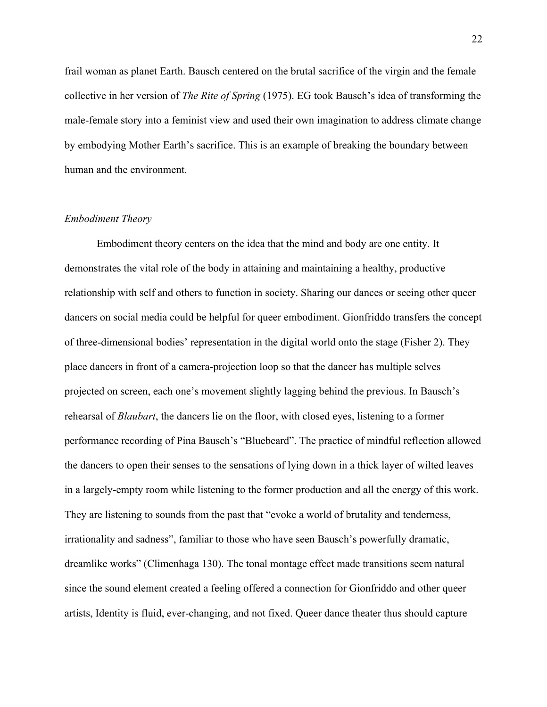frail woman as planet Earth. Bausch centered on the brutal sacrifice of the virgin and the female collective in her version of *The Rite of Spring* (1975). EG took Bausch's idea of transforming the male-female story into a feminist view and used their own imagination to address climate change by embodying Mother Earth's sacrifice. This is an example of breaking the boundary between human and the environment.

#### *Embodiment Theory*

Embodiment theory centers on the idea that the mind and body are one entity. It demonstrates the vital role of the body in attaining and maintaining a healthy, productive relationship with self and others to function in society. Sharing our dances or seeing other queer dancers on social media could be helpful for queer embodiment. Gionfriddo transfers the concept of three-dimensional bodies' representation in the digital world onto the stage (Fisher 2). They place dancers in front of a camera-projection loop so that the dancer has multiple selves projected on screen, each one's movement slightly lagging behind the previous. In Bausch's rehearsal of *Blaubart*, the dancers lie on the floor, with closed eyes, listening to a former performance recording of Pina Bausch's "Bluebeard". The practice of mindful reflection allowed the dancers to open their senses to the sensations of lying down in a thick layer of wilted leaves in a largely-empty room while listening to the former production and all the energy of this work. They are listening to sounds from the past that "evoke a world of brutality and tenderness, irrationality and sadness", familiar to those who have seen Bausch's powerfully dramatic, dreamlike works" (Climenhaga 130). The tonal montage effect made transitions seem natural since the sound element created a feeling offered a connection for Gionfriddo and other queer artists, Identity is fluid, ever-changing, and not fixed. Queer dance theater thus should capture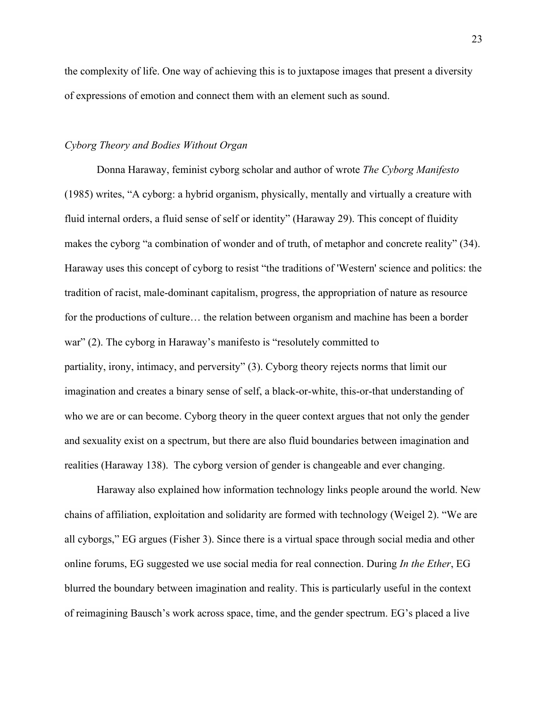the complexity of life. One way of achieving this is to juxtapose images that present a diversity of expressions of emotion and connect them with an element such as sound.

#### *Cyborg Theory and Bodies Without Organ*

Donna Haraway, feminist cyborg scholar and author of wrote *The Cyborg Manifesto* (1985) writes, "A cyborg: a hybrid organism, physically, mentally and virtually a creature with fluid internal orders, a fluid sense of self or identity" (Haraway 29). This concept of fluidity makes the cyborg "a combination of wonder and of truth, of metaphor and concrete reality" (34). Haraway uses this concept of cyborg to resist "the traditions of 'Western' science and politics: the tradition of racist, male-dominant capitalism, progress, the appropriation of nature as resource for the productions of culture… the relation between organism and machine has been a border war" (2). The cyborg in Haraway's manifesto is "resolutely committed to partiality, irony, intimacy, and perversity" (3). Cyborg theory rejects norms that limit our imagination and creates a binary sense of self, a black-or-white, this-or-that understanding of who we are or can become. Cyborg theory in the queer context argues that not only the gender and sexuality exist on a spectrum, but there are also fluid boundaries between imagination and realities (Haraway 138). The cyborg version of gender is changeable and ever changing.

Haraway also explained how information technology links people around the world. New chains of affiliation, exploitation and solidarity are formed with technology (Weigel 2). "We are all cyborgs," EG argues (Fisher 3). Since there is a virtual space through social media and other online forums, EG suggested we use social media for real connection. During *In the Ether*, EG blurred the boundary between imagination and reality. This is particularly useful in the context of reimagining Bausch's work across space, time, and the gender spectrum. EG's placed a live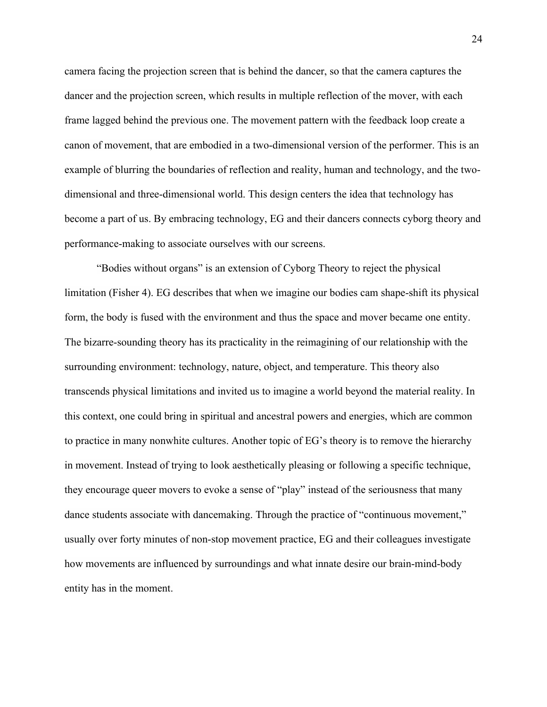camera facing the projection screen that is behind the dancer, so that the camera captures the dancer and the projection screen, which results in multiple reflection of the mover, with each frame lagged behind the previous one. The movement pattern with the feedback loop create a canon of movement, that are embodied in a two-dimensional version of the performer. This is an example of blurring the boundaries of reflection and reality, human and technology, and the twodimensional and three-dimensional world. This design centers the idea that technology has become a part of us. By embracing technology, EG and their dancers connects cyborg theory and performance-making to associate ourselves with our screens.

"Bodies without organs" is an extension of Cyborg Theory to reject the physical limitation (Fisher 4). EG describes that when we imagine our bodies cam shape-shift its physical form, the body is fused with the environment and thus the space and mover became one entity. The bizarre-sounding theory has its practicality in the reimagining of our relationship with the surrounding environment: technology, nature, object, and temperature. This theory also transcends physical limitations and invited us to imagine a world beyond the material reality. In this context, one could bring in spiritual and ancestral powers and energies, which are common to practice in many nonwhite cultures. Another topic of EG's theory is to remove the hierarchy in movement. Instead of trying to look aesthetically pleasing or following a specific technique, they encourage queer movers to evoke a sense of "play" instead of the seriousness that many dance students associate with dancemaking. Through the practice of "continuous movement," usually over forty minutes of non-stop movement practice, EG and their colleagues investigate how movements are influenced by surroundings and what innate desire our brain-mind-body entity has in the moment.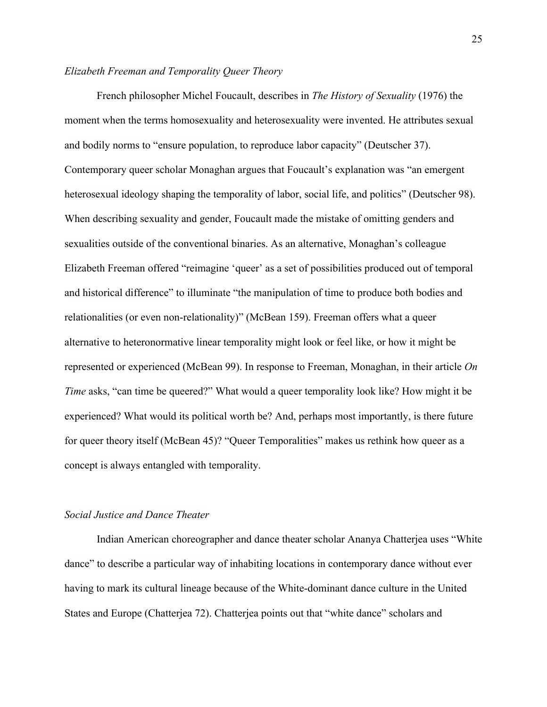## *Elizabeth Freeman and Temporality Queer Theory*

French philosopher Michel Foucault, describes in *The History of Sexuality* (1976) the moment when the terms homosexuality and heterosexuality were invented. He attributes sexual and bodily norms to "ensure population, to reproduce labor capacity" (Deutscher 37). Contemporary queer scholar Monaghan argues that Foucault's explanation was "an emergent heterosexual ideology shaping the temporality of labor, social life, and politics" (Deutscher 98). When describing sexuality and gender, Foucault made the mistake of omitting genders and sexualities outside of the conventional binaries. As an alternative, Monaghan's colleague Elizabeth Freeman offered "reimagine 'queer' as a set of possibilities produced out of temporal and historical difference" to illuminate "the manipulation of time to produce both bodies and relationalities (or even non-relationality)" (McBean 159). Freeman offers what a queer alternative to heteronormative linear temporality might look or feel like, or how it might be represented or experienced (McBean 99). In response to Freeman, Monaghan, in their article *On Time* asks, "can time be queered?" What would a queer temporality look like? How might it be experienced? What would its political worth be? And, perhaps most importantly, is there future for queer theory itself (McBean 45)? "Queer Temporalities" makes us rethink how queer as a concept is always entangled with temporality.

#### *Social Justice and Dance Theater*

Indian American choreographer and dance theater scholar Ananya Chatterjea uses "White dance" to describe a particular way of inhabiting locations in contemporary dance without ever having to mark its cultural lineage because of the White-dominant dance culture in the United States and Europe (Chatterjea 72). Chatterjea points out that "white dance" scholars and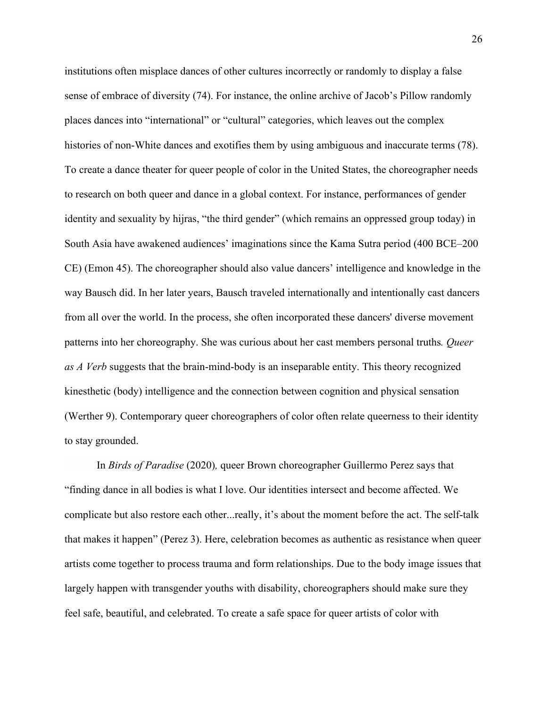institutions often misplace dances of other cultures incorrectly or randomly to display a false sense of embrace of diversity (74). For instance, the online archive of Jacob's Pillow randomly places dances into "international" or "cultural" categories, which leaves out the complex histories of non-White dances and exotifies them by using ambiguous and inaccurate terms (78). To create a dance theater for queer people of color in the United States, the choreographer needs to research on both queer and dance in a global context. For instance, performances of gender identity and sexuality by hijras, "the third gender" (which remains an oppressed group today) in South Asia have awakened audiences' imaginations since the Kama Sutra period (400 BCE–200 CE) (Emon 45). The choreographer should also value dancers' intelligence and knowledge in the way Bausch did. In her later years, Bausch traveled internationally and intentionally cast dancers from all over the world. In the process, she often incorporated these dancers' diverse movement patterns into her choreography. She was curious about her cast members personal truths*. Queer as A Verb* suggests that the brain-mind-body is an inseparable entity. This theory recognized kinesthetic (body) intelligence and the connection between cognition and physical sensation (Werther 9). Contemporary queer choreographers of color often relate queerness to their identity to stay grounded.

In *Birds of Paradise* (2020)*,* queer Brown choreographer Guillermo Perez says that "finding dance in all bodies is what I love. Our identities intersect and become affected. We complicate but also restore each other...really, it's about the moment before the act. The self-talk that makes it happen" (Perez 3). Here, celebration becomes as authentic as resistance when queer artists come together to process trauma and form relationships. Due to the body image issues that largely happen with transgender youths with disability, choreographers should make sure they feel safe, beautiful, and celebrated. To create a safe space for queer artists of color with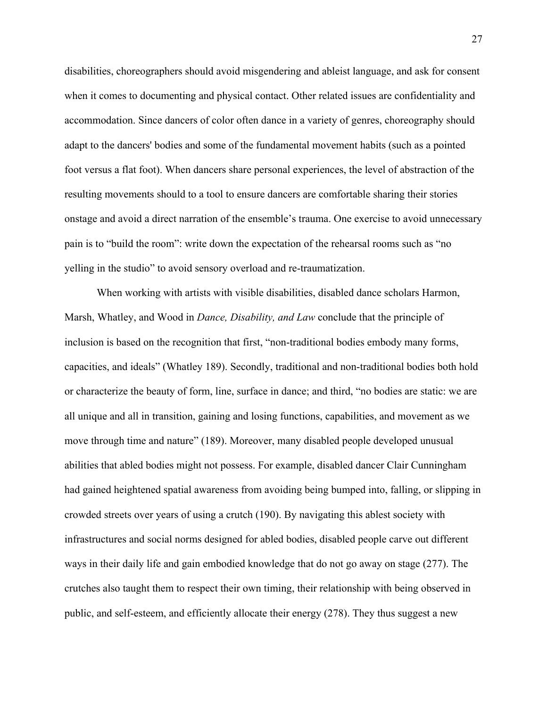disabilities, choreographers should avoid misgendering and ableist language, and ask for consent when it comes to documenting and physical contact. Other related issues are confidentiality and accommodation. Since dancers of color often dance in a variety of genres, choreography should adapt to the dancers' bodies and some of the fundamental movement habits (such as a pointed foot versus a flat foot). When dancers share personal experiences, the level of abstraction of the resulting movements should to a tool to ensure dancers are comfortable sharing their stories onstage and avoid a direct narration of the ensemble's trauma. One exercise to avoid unnecessary pain is to "build the room": write down the expectation of the rehearsal rooms such as "no yelling in the studio" to avoid sensory overload and re-traumatization.

When working with artists with visible disabilities, disabled dance scholars Harmon, Marsh, Whatley, and Wood in *Dance, Disability, and Law* conclude that the principle of inclusion is based on the recognition that first, "non-traditional bodies embody many forms, capacities, and ideals" (Whatley 189). Secondly, traditional and non-traditional bodies both hold or characterize the beauty of form, line, surface in dance; and third, "no bodies are static: we are all unique and all in transition, gaining and losing functions, capabilities, and movement as we move through time and nature" (189). Moreover, many disabled people developed unusual abilities that abled bodies might not possess. For example, disabled dancer Clair Cunningham had gained heightened spatial awareness from avoiding being bumped into, falling, or slipping in crowded streets over years of using a crutch (190). By navigating this ablest society with infrastructures and social norms designed for abled bodies, disabled people carve out different ways in their daily life and gain embodied knowledge that do not go away on stage (277). The crutches also taught them to respect their own timing, their relationship with being observed in public, and self-esteem, and efficiently allocate their energy (278). They thus suggest a new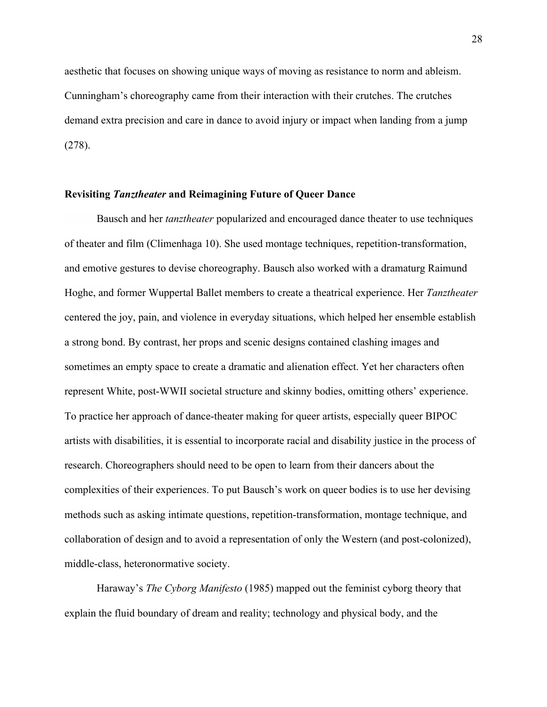aesthetic that focuses on showing unique ways of moving as resistance to norm and ableism. Cunningham's choreography came from their interaction with their crutches. The crutches demand extra precision and care in dance to avoid injury or impact when landing from a jump (278).

#### **Revisiting** *Tanztheater* **and Reimagining Future of Queer Dance**

Bausch and her *tanztheater* popularized and encouraged dance theater to use techniques of theater and film (Climenhaga 10). She used montage techniques, repetition-transformation, and emotive gestures to devise choreography. Bausch also worked with a dramaturg Raimund Hoghe, and former Wuppertal Ballet members to create a theatrical experience. Her *Tanztheater*  centered the joy, pain, and violence in everyday situations, which helped her ensemble establish a strong bond. By contrast, her props and scenic designs contained clashing images and sometimes an empty space to create a dramatic and alienation effect. Yet her characters often represent White, post-WWII societal structure and skinny bodies, omitting others' experience. To practice her approach of dance-theater making for queer artists, especially queer BIPOC artists with disabilities, it is essential to incorporate racial and disability justice in the process of research. Choreographers should need to be open to learn from their dancers about the complexities of their experiences. To put Bausch's work on queer bodies is to use her devising methods such as asking intimate questions, repetition-transformation, montage technique, and collaboration of design and to avoid a representation of only the Western (and post-colonized), middle-class, heteronormative society.

Haraway's *The Cyborg Manifesto* (1985) mapped out the feminist cyborg theory that explain the fluid boundary of dream and reality; technology and physical body, and the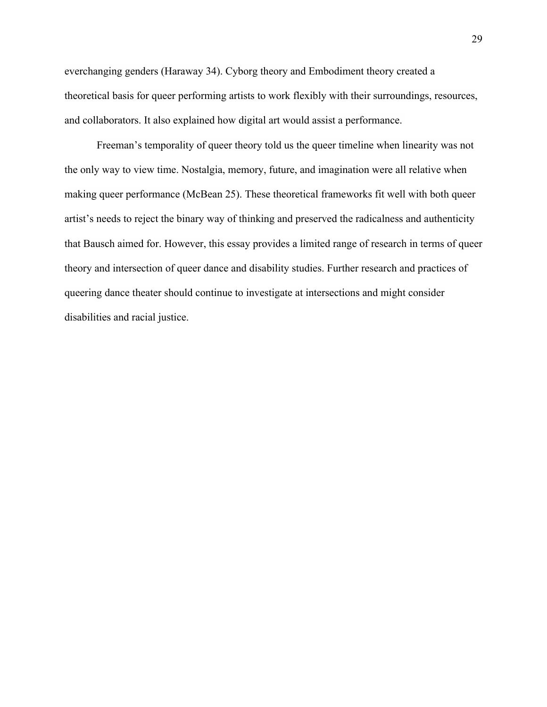everchanging genders (Haraway 34). Cyborg theory and Embodiment theory created a theoretical basis for queer performing artists to work flexibly with their surroundings, resources, and collaborators. It also explained how digital art would assist a performance.

Freeman's temporality of queer theory told us the queer timeline when linearity was not the only way to view time. Nostalgia, memory, future, and imagination were all relative when making queer performance (McBean 25). These theoretical frameworks fit well with both queer artist's needs to reject the binary way of thinking and preserved the radicalness and authenticity that Bausch aimed for. However, this essay provides a limited range of research in terms of queer theory and intersection of queer dance and disability studies. Further research and practices of queering dance theater should continue to investigate at intersections and might consider disabilities and racial justice.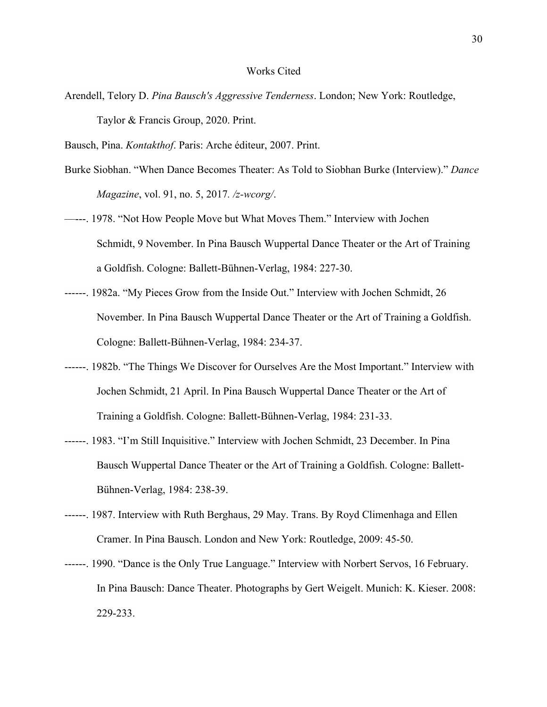#### Works Cited

- Arendell, Telory D. *Pina Bausch's Aggressive Tenderness*. London; New York: Routledge, Taylor & Francis Group, 2020. Print.
- Bausch, Pina. *Kontakthof*. Paris: Arche éditeur, 2007. Print.
- Burke Siobhan. "When Dance Becomes Theater: As Told to Siobhan Burke (Interview)." *Dance Magazine*, vol. 91, no. 5, 2017*. /z-wcorg/*.
- —---. 1978. "Not How People Move but What Moves Them." Interview with Jochen Schmidt, 9 November. In Pina Bausch Wuppertal Dance Theater or the Art of Training a Goldfish. Cologne: Ballett-Bühnen-Verlag, 1984: 227-30.
- ------. 1982a. "My Pieces Grow from the Inside Out." Interview with Jochen Schmidt, 26 November. In Pina Bausch Wuppertal Dance Theater or the Art of Training a Goldfish. Cologne: Ballett-Bühnen-Verlag, 1984: 234-37.
- ------. 1982b. "The Things We Discover for Ourselves Are the Most Important." Interview with Jochen Schmidt, 21 April. In Pina Bausch Wuppertal Dance Theater or the Art of Training a Goldfish. Cologne: Ballett-Bühnen-Verlag, 1984: 231-33.
- ------. 1983. "I'm Still Inquisitive." Interview with Jochen Schmidt, 23 December. In Pina Bausch Wuppertal Dance Theater or the Art of Training a Goldfish. Cologne: Ballett-Bühnen-Verlag, 1984: 238-39.
- ------. 1987. Interview with Ruth Berghaus, 29 May. Trans. By Royd Climenhaga and Ellen Cramer. In Pina Bausch. London and New York: Routledge, 2009: 45-50.
- ------. 1990. "Dance is the Only True Language." Interview with Norbert Servos, 16 February. In Pina Bausch: Dance Theater. Photographs by Gert Weigelt. Munich: K. Kieser. 2008: 229-233.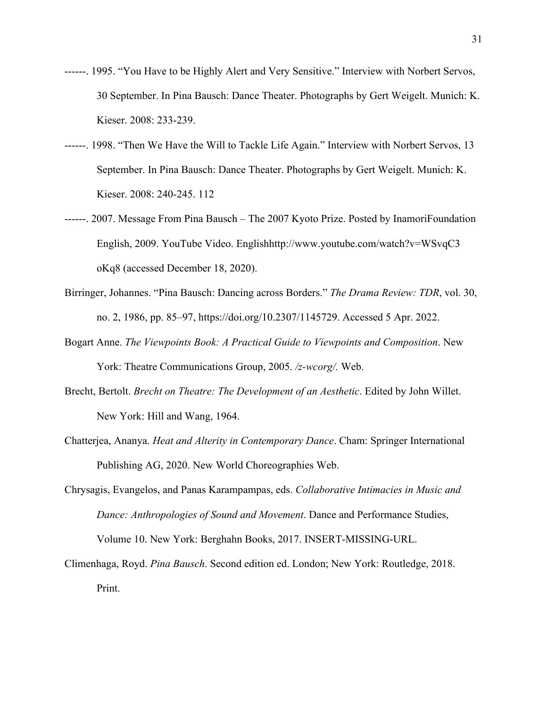- ------. 1995. "You Have to be Highly Alert and Very Sensitive." Interview with Norbert Servos, 30 September. In Pina Bausch: Dance Theater. Photographs by Gert Weigelt. Munich: K. Kieser. 2008: 233-239.
- ------. 1998. "Then We Have the Will to Tackle Life Again." Interview with Norbert Servos, 13 September. In Pina Bausch: Dance Theater. Photographs by Gert Weigelt. Munich: K. Kieser. 2008: 240-245. 112
- ------. 2007. Message From Pina Bausch The 2007 Kyoto Prize. Posted by InamoriFoundation English, 2009. YouTube Video. Englishhttp://www.youtube.com/watch?v=WSvqC3 oKq8 (accessed December 18, 2020).
- Birringer, Johannes. "Pina Bausch: Dancing across Borders." *The Drama Review: TDR*, vol. 30, no. 2, 1986, pp. 85–97, https://doi.org/10.2307/1145729. Accessed 5 Apr. 2022.
- Bogart Anne. *The Viewpoints Book: A Practical Guide to Viewpoints and Composition*. New York: Theatre Communications Group, 2005. */z-wcorg/.* Web.
- Brecht, Bertolt. *Brecht on Theatre: The Development of an Aesthetic*. Edited by John Willet. New York: Hill and Wang, 1964.
- Chatterjea, Ananya. *Heat and Alterity in Contemporary Dance*. Cham: Springer International Publishing AG, 2020. New World Choreographies Web.
- Chrysagis, Evangelos, and Panas Karampampas, eds. *Collaborative Intimacies in Music and Dance: Anthropologies of Sound and Movement*. Dance and Performance Studies, Volume 10. New York: Berghahn Books, 2017. INSERT-MISSING-URL.
- Climenhaga, Royd. *Pina Bausch*. Second edition ed. London; New York: Routledge, 2018. Print.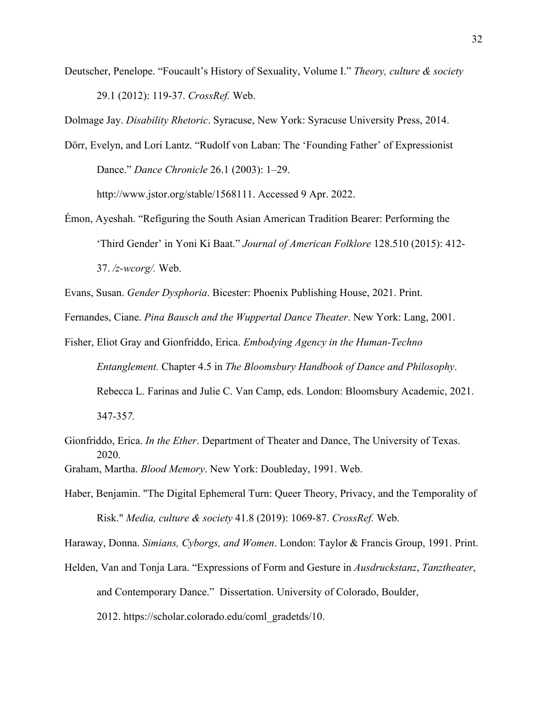Deutscher, Penelope. "Foucault's History of Sexuality, Volume I." *Theory, culture & society* 29.1 (2012): 119-37. *CrossRef.* Web.

Dolmage Jay. *Disability Rhetoric*. Syracuse, New York: Syracuse University Press, 2014.

Dörr, Evelyn, and Lori Lantz. "Rudolf von Laban: The 'Founding Father' of Expressionist Dance." *Dance Chronicle* 26.1 (2003): 1–29.

http://www.jstor.org/stable/1568111. Accessed 9 Apr. 2022.

- Émon, Ayeshah. "Refiguring the South Asian American Tradition Bearer: Performing the 'Third Gender' in Yoni Ki Baat." *Journal of American Folklore* 128.510 (2015): 412- 37. */z-wcorg/.* Web.
- Evans, Susan. *Gender Dysphoria*. Bicester: Phoenix Publishing House, 2021. Print.

Fernandes, Ciane. *Pina Bausch and the Wuppertal Dance Theater*. New York: Lang, 2001.

- Fisher, Eliot Gray and Gionfriddo, Erica. *Embodying Agency in the Human-Techno Entanglement.* Chapter 4.5 in *The Bloomsbury Handbook of Dance and Philosophy*. Rebecca L. Farinas and Julie C. Van Camp, eds. London: Bloomsbury Academic, 2021. 347-35*7.*
- Gionfriddo, Erica. *In the Ether*. Department of Theater and Dance, The University of Texas. 2020.
- Graham, Martha. *Blood Memory*. New York: Doubleday, 1991. Web.
- Haber, Benjamin. "The Digital Ephemeral Turn: Queer Theory, Privacy, and the Temporality of Risk." *Media, culture & society* 41.8 (2019): 1069-87. *CrossRef.* Web.

Haraway, Donna. *Simians, Cyborgs, and Women*. London: Taylor & Francis Group, 1991. Print.

Helden, Van and Tonja Lara. "Expressions of Form and Gesture in *Ausdruckstanz*, *Tanztheater*, and Contemporary Dance." Dissertation. University of Colorado, Boulder,

2012. https://scholar.colorado.edu/coml\_gradetds/10.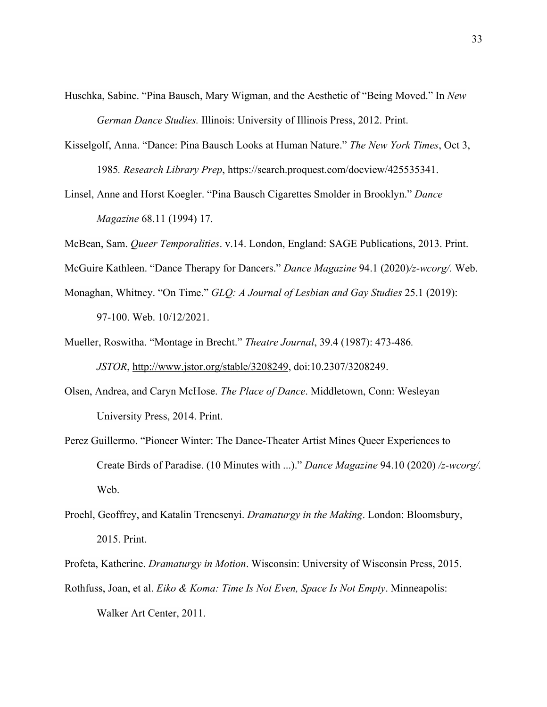- Huschka, Sabine. "Pina Bausch, Mary Wigman, and the Aesthetic of "Being Moved." In *New German Dance Studies.* Illinois: University of Illinois Press, 2012. Print.
- Kisselgolf, Anna. "Dance: Pina Bausch Looks at Human Nature." *The New York Times*, Oct 3, 1985*. Research Library Prep*, https://search.proquest.com/docview/425535341.
- Linsel, Anne and Horst Koegler. "Pina Bausch Cigarettes Smolder in Brooklyn." *Dance Magazine* 68.11 (1994) 17.
- McBean, Sam. *Queer Temporalities*. v.14. London, England: SAGE Publications, 2013. Print.

McGuire Kathleen. "Dance Therapy for Dancers." *Dance Magazine* 94.1 (2020)*/z-wcorg/.* Web.

- Monaghan, Whitney. "On Time." *GLQ: A Journal of Lesbian and Gay Studies* 25.1 (2019): 97-100. Web. 10/12/2021.
- Mueller, Roswitha. "Montage in Brecht." *Theatre Journal*, 39.4 (1987): 473-486*. JSTOR*, http://www.jstor.org/stable/3208249, doi:10.2307/3208249.
- Olsen, Andrea, and Caryn McHose. *The Place of Dance*. Middletown, Conn: Wesleyan University Press, 2014. Print.
- Perez Guillermo. "Pioneer Winter: The Dance-Theater Artist Mines Queer Experiences to Create Birds of Paradise. (10 Minutes with ...)." *Dance Magazine* 94.10 (2020) */z-wcorg/.*  Web.
- Proehl, Geoffrey, and Katalin Trencsenyi. *Dramaturgy in the Making*. London: Bloomsbury, 2015. Print.
- Profeta, Katherine. *Dramaturgy in Motion*. Wisconsin: University of Wisconsin Press, 2015. Rothfuss, Joan, et al. *Eiko & Koma: Time Is Not Even, Space Is Not Empty*. Minneapolis: Walker Art Center, 2011.